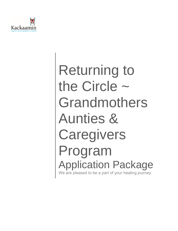

# Returning to the Circle ~ Grandmothers Aunties & **Caregivers** Program Application Package We are pleased to be a part of your healing journey.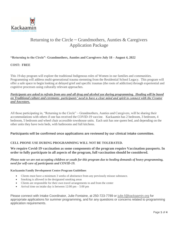

# Returning to the Circle  $\sim$  Grandmothers, Aunties & Caregivers Application Package

# **"Returning to the Circle"- Grandmothers, Aunties and Caregivers-July 18 – August 4, 2022**

#### **COST: FREE**

This 19-day program will explore the traditional Indigenous roles of Women in our families and communities. Programming will address multi-generational trauma stemming from the Residential School Legacy. This program will offer a safe space to begin looking at delayed grief and specific traumas (the roots of addiction) through experiential and cognitive processes using culturally relevant approaches.

### *Participants are asked to refrain from any and all drug and alcohol use during programming. Healing will be based on Traditional culture and ceremony- participants' need to have a clear mind and spirit to connect with the Creator and Ancestors.*

All those participating in, "Returning to the Circle" ~ Grandmothers, Aunties and Caregivers, will be sharing their accommodations with others if one has received the COVID-19 vaccine. Kackaamin has 2 bedroom, 3 bedroom, 4 bedroom, 5 bedroom and wheel chair accessible townhouse units. Each unit has one queen bed, and depending on the other units they have twin beds, with bathrooms and full kitchens.

# **Participants will be confirmed once applications are reviewed by our clinical intake committee.**

# **CELL PHONE USE DURING PROGRAMMING WILL NOT BE TOLERATED.**

## **We require Covid-19 vaccination as some components of the program require Vaccination passports. In order to fully participate in all aspects of the program, full vaccination should be considered.**

#### *Please note we are not accepting children or youth for this program due to healing demands of heavy programming, need for self-care of participants and COVID-19.*

#### **Kackaamin Family Development Centre Program Guidelines**

- Clients must have a minimum 3 weeks of abstinence from any previously misuse substance.
- Smoking is allowed in the designated smoking areas
- Clients are responsible for their own travel arrangements to and from the center
- Arrival time on intake day is between 12:00 pm 5:00 pm

Please connect with Intake Coordinator, Julie Fontaine, at 250-723-7789 or [julie.f@kackaamin.org](mailto:julie.f@kackaamin.org) for appropriate applications for summer programming, and for any questions or concerns related to programming application requirements.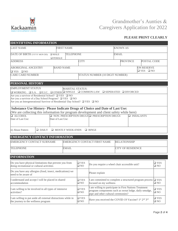

# Grandmother's Aunties & Caregivers Application for 2022

# **PLEASE PRINT CLEARLY**

| <b>IDENTIFYING INFORMATION</b>                                                                                                                   |                   |                         |                                               |                                                                                                      |                                                                                                                                  |               |  |
|--------------------------------------------------------------------------------------------------------------------------------------------------|-------------------|-------------------------|-----------------------------------------------|------------------------------------------------------------------------------------------------------|----------------------------------------------------------------------------------------------------------------------------------|---------------|--|
| <b>LAST NAME</b>                                                                                                                                 |                   | <b>FIRST NAME</b>       |                                               |                                                                                                      | <b>KNOWN AS</b>                                                                                                                  |               |  |
| DATE OF BIRTH (YYYY MON DD)                                                                                                                      | $\square$ MALE    | <b>TELEPHONE</b>        |                                               |                                                                                                      | <b>EMAIL</b>                                                                                                                     |               |  |
|                                                                                                                                                  | $\Box$ FEMALE     |                         |                                               |                                                                                                      |                                                                                                                                  |               |  |
| <b>ADDRESS</b>                                                                                                                                   |                   |                         | <b>CITY</b>                                   |                                                                                                      | <b>PROVINCE</b><br>POSTAL CODE                                                                                                   |               |  |
| <b>ABORIGINAL ANCESTRY</b>                                                                                                                       | <b>BAND NAME</b>  |                         |                                               |                                                                                                      | ON RESERVE                                                                                                                       |               |  |
| $\Box$ YES $\Box$ NO                                                                                                                             |                   |                         |                                               |                                                                                                      | $\Box$ YES $\Box$ NO                                                                                                             |               |  |
| <b>CARE CARD NUMBER</b>                                                                                                                          |                   |                         |                                               | STATUS NUMBER (10 DIGIT NUMBER)                                                                      |                                                                                                                                  |               |  |
| PERSONAL HISTORY                                                                                                                                 |                   |                         |                                               |                                                                                                      |                                                                                                                                  |               |  |
| <b>EMPLOYMENT STATUS</b>                                                                                                                         |                   | <b>MARITAL STATUS:</b>  |                                               |                                                                                                      |                                                                                                                                  |               |  |
| $\square$ WORKING $\square$ S.A. $\square$ E.I.C. $\square$ OTHER $\square$ SINGLE $\square$ COMMON-LAW $\square$ SEPERATED $\square$ DIVORCED   |                   |                         |                                               |                                                                                                      |                                                                                                                                  |               |  |
| Are you a survivor of Residential School? $\Box$ YES $\Box$ NO                                                                                   |                   |                         |                                               |                                                                                                      |                                                                                                                                  |               |  |
| Are you a survivor of a Day School Program? $\Box$ YES $\Box$ NO<br>Are you an Intergenerational Survivor of Residential/ Day School? □ YES □ NO |                   |                         |                                               |                                                                                                      |                                                                                                                                  |               |  |
|                                                                                                                                                  |                   |                         |                                               |                                                                                                      |                                                                                                                                  |               |  |
| Substance Use History- Please Indicate Drugs of Choice and Date of Last Use:                                                                     |                   |                         |                                               |                                                                                                      |                                                                                                                                  |               |  |
| (We are collecting this information for program development and client safety while here)                                                        |                   |                         |                                               |                                                                                                      |                                                                                                                                  |               |  |
| <b>Q</b> ALCOHOL                                                                                                                                 |                   |                         |                                               | $\Box$ NON-PRESCRIPTION DRUGS $\Box$ PRESCRIPTION DRUGS                                              | $\Box$ INHALANTS                                                                                                                 |               |  |
| Date of Last Use:                                                                                                                                | Date of Last Use: |                         |                                               |                                                                                                      |                                                                                                                                  |               |  |
|                                                                                                                                                  |                   |                         |                                               |                                                                                                      |                                                                                                                                  |               |  |
| ii) Abuse Pattern<br>$\Box$ DAILY                                                                                                                |                   | <b>NOSTLY WEEK-ENDS</b> |                                               | $\Box$ BINGE                                                                                         |                                                                                                                                  |               |  |
| <b>EMERGENCY CONTACT INFORMATION</b>                                                                                                             |                   |                         |                                               |                                                                                                      |                                                                                                                                  |               |  |
| EMERGENCY CONTACT SURNAME                                                                                                                        |                   |                         |                                               | EMERGENCY CONTACT FIRST NAME                                                                         | <b>RELATIONSHIP</b>                                                                                                              |               |  |
|                                                                                                                                                  |                   |                         |                                               |                                                                                                      |                                                                                                                                  |               |  |
| <b>TELEPHONE</b><br><b>EMAIL</b>                                                                                                                 |                   |                         |                                               | <b>CITY OF RESIDENCE</b>                                                                             |                                                                                                                                  |               |  |
|                                                                                                                                                  |                   |                         |                                               |                                                                                                      |                                                                                                                                  |               |  |
| <b>INFORMATION</b>                                                                                                                               |                   |                         |                                               |                                                                                                      |                                                                                                                                  |               |  |
| Do you have physical limitations that prevent you from                                                                                           |                   |                         | $\square$ YES                                 |                                                                                                      |                                                                                                                                  | $\Box$ YES    |  |
| doing recreational or cultural activities                                                                                                        |                   | $\square$ NO            | Do you require a wheel chair accessible unit? |                                                                                                      | $\square$ NO                                                                                                                     |               |  |
| Do you have any allergies (food, insect, medications) we                                                                                         |                   |                         |                                               |                                                                                                      |                                                                                                                                  |               |  |
| need to be aware of                                                                                                                              |                   |                         |                                               | Please explain                                                                                       |                                                                                                                                  |               |  |
| I understand and accept I will be placed in shared<br>accommodation                                                                              |                   |                         | $\square$ YES                                 | I am committed to complete a structured program process                                              |                                                                                                                                  | $\Box$ YES    |  |
|                                                                                                                                                  |                   |                         | $\square$ NO                                  | $\square$ NO<br>focused on my wellness                                                               |                                                                                                                                  |               |  |
| I am willing to be involved in all types of intensive<br>activities?                                                                             |                   |                         | $\square$ YES                                 |                                                                                                      | I am willing to participate in First Nations Treatment<br>$\square$ YES<br>program components such as sweat lodge, daily smudge, |               |  |
|                                                                                                                                                  |                   |                         | $\square$ NO                                  | pipe and other cultural ceremonies?                                                                  |                                                                                                                                  | $\square$ NO  |  |
| I am willing to put aside all external distractions while in                                                                                     |                   |                         | $\Box$ YES                                    |                                                                                                      |                                                                                                                                  | $\square$ YES |  |
| the journey to the wellness program                                                                                                              |                   |                         | $\square$ NO                                  | Have you received the COVID-19 Vaccine? 1 <sup>st</sup> 2 <sup>nd</sup> 3 <sup>rd</sup><br>$\Box$ NO |                                                                                                                                  |               |  |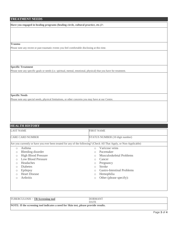# **TREATMENT NEEDS**

**Have you engaged in healing programs (healing circle, cultural practice, etc.)?:**

#### **Trauma**

Please note any recent or past traumatic events you feel comfortable disclosing at this time.

#### **Specific Treatment**

Please note any specific goals or needs (i.e. spiritual, mental, emotional, physical) that you have for treatment.

#### **Specific Needs**

Please note any special needs, physical limitations, or other concerns you may have at our Centre.

| <b>LAST NAME</b> |                            | <b>FIRST NAME</b>                                                                                                   |
|------------------|----------------------------|---------------------------------------------------------------------------------------------------------------------|
|                  | <b>CARE CARD NUMBER</b>    | STATUS NUMBER (10 digit number)                                                                                     |
|                  |                            | Are you currently or have you ever been treated for any of the following? (Check All That Apply, or Non-Applicable) |
| $\circ$          | Asthma                     | Varicose veins<br>$\bigcirc$                                                                                        |
| $\circ$          | Bleeding disorder          | Pacemaker<br>$\bigcirc$                                                                                             |
| $\circ$          | <b>High Blood Pressure</b> | Musculoskeletal Problems<br>$\circ$                                                                                 |
| $\bigcirc$       | <b>Low Blood Pressure</b>  | Cancer<br>$\circ$                                                                                                   |
| $\circ$          | Headaches                  | Pregnancy<br>$\circ$                                                                                                |
| $\bigcirc$       | <b>Diabetes</b>            | <b>Stroke</b><br>$\bigcirc$                                                                                         |
| $\circ$          | Epilepsy                   | <b>Gastro-Intestinal Problems</b><br>$\bigcirc$                                                                     |
| $\bigcirc$       | <b>Heart Disease</b>       | Hemophilia<br>$\circ$                                                                                               |
| $\bigcirc$       | <b>Arthritis</b>           | Other (please specify):<br>$\circlearrowright$                                                                      |

| TUBERCULOSIS ~ TB Screening tool                                                    | <b>DORMANT</b> |  |  |  |  |  |
|-------------------------------------------------------------------------------------|----------------|--|--|--|--|--|
|                                                                                     | DATE           |  |  |  |  |  |
| NOTE: If the screening tool indicates a need for Skin test, please provide results. |                |  |  |  |  |  |